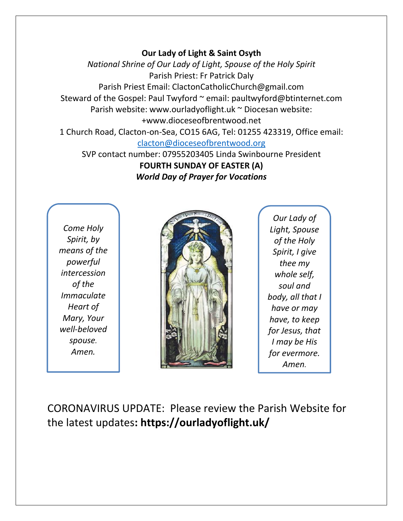## **Our Lady of Light & Saint Osyth**

*National Shrine of Our Lady of Light, Spouse of the Holy Spirit* Parish Priest: Fr Patrick Daly Parish Priest Email: ClactonCatholicChurch@gmail.com Steward of the Gospel: Paul Twyford ~ email: paultwyford@btinternet.com Parish website: www.ourladyoflight.uk ~ Diocesan website: +www.dioceseofbrentwood.net 1 Church Road, Clacton-on-Sea, CO15 6AG, Tel: 01255 423319, Office email:

[clacton@dioceseofbrentwood.org](mailto:clacton@dioceseofbrentwood.org)

SVP contact number: 07955203405 Linda Swinbourne President **FOURTH SUNDAY OF EASTER (A)** *World Day of Prayer for Vocations*

*Come Holy Spirit, by means of the powerful intercession of the Immaculate Heart of Mary, Your well-beloved spouse. Amen.*



*Our Lady of Light, Spouse of the Holy Spirit, I give thee my whole self, soul and body, all that I have or may have, to keep for Jesus, that I may be His for evermore. Amen.*

CORONAVIRUS UPDATE: Please review the Parish Website for the latest updates**: https://ourladyoflight.uk/**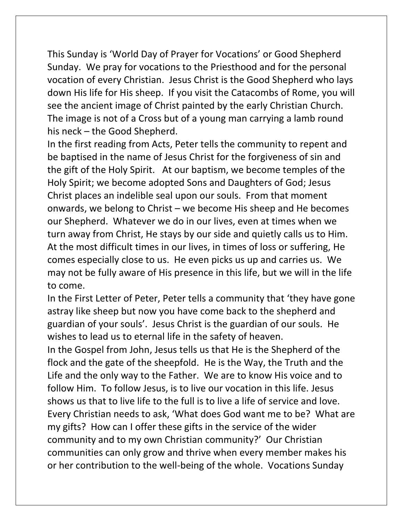This Sunday is 'World Day of Prayer for Vocations' or Good Shepherd Sunday. We pray for vocations to the Priesthood and for the personal vocation of every Christian. Jesus Christ is the Good Shepherd who lays down His life for His sheep. If you visit the Catacombs of Rome, you will see the ancient image of Christ painted by the early Christian Church. The image is not of a Cross but of a young man carrying a lamb round his neck – the Good Shepherd.

In the first reading from Acts, Peter tells the community to repent and be baptised in the name of Jesus Christ for the forgiveness of sin and the gift of the Holy Spirit. At our baptism, we become temples of the Holy Spirit; we become adopted Sons and Daughters of God; Jesus Christ places an indelible seal upon our souls. From that moment onwards, we belong to Christ – we become His sheep and He becomes our Shepherd. Whatever we do in our lives, even at times when we turn away from Christ, He stays by our side and quietly calls us to Him. At the most difficult times in our lives, in times of loss or suffering, He comes especially close to us. He even picks us up and carries us. We may not be fully aware of His presence in this life, but we will in the life to come.

In the First Letter of Peter, Peter tells a community that 'they have gone astray like sheep but now you have come back to the shepherd and guardian of your souls'. Jesus Christ is the guardian of our souls. He wishes to lead us to eternal life in the safety of heaven.

In the Gospel from John, Jesus tells us that He is the Shepherd of the flock and the gate of the sheepfold. He is the Way, the Truth and the Life and the only way to the Father. We are to know His voice and to follow Him. To follow Jesus, is to live our vocation in this life. Jesus shows us that to live life to the full is to live a life of service and love. Every Christian needs to ask, 'What does God want me to be? What are my gifts? How can I offer these gifts in the service of the wider community and to my own Christian community?' Our Christian communities can only grow and thrive when every member makes his or her contribution to the well-being of the whole. Vocations Sunday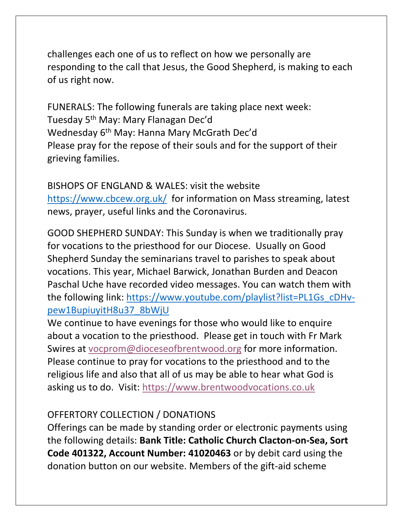challenges each one of us to reflect on how we personally are responding to the call that Jesus, the Good Shepherd, is making to each of us right now.

FUNERALS: The following funerals are taking place next week: Tuesday 5th May: Mary Flanagan Dec'd Wednesday 6<sup>th</sup> May: Hanna Mary McGrath Dec'd Please pray for the repose of their souls and for the support of their grieving families.

BISHOPS OF ENGLAND & WALES: visit the website <https://www.cbcew.org.uk/>for information on Mass streaming, latest news, prayer, useful links and the Coronavirus.

GOOD SHEPHERD SUNDAY: This Sunday is when we traditionally pray for vocations to the priesthood for our Diocese. Usually on Good Shepherd Sunday the seminarians travel to parishes to speak about vocations. This year, Michael Barwick, Jonathan Burden and Deacon Paschal Uche have recorded video messages. You can watch them with the following link: [https://www.youtube.com/playlist?list=PL1Gs\\_cDHv](https://www.youtube.com/playlist?list=PL1Gs_cDHv-pew1BupiuyitH8u37_8bWjU)[pew1BupiuyitH8u37\\_8bWjU](https://www.youtube.com/playlist?list=PL1Gs_cDHv-pew1BupiuyitH8u37_8bWjU)

We continue to have evenings for those who would like to enquire about a vocation to the priesthood. Please get in touch with Fr Mark Swires at [vocprom@dioceseofbrentwood.org](mailto:vocprom@dioceseofbrentwood.org) for more information. Please continue to pray for vocations to the priesthood and to the religious life and also that all of us may be able to hear what God is asking us to do. Visit: [https://www.brentwoodvocations.co.uk](https://www.brentwoodvocations.co.uk/)

## OFFERTORY COLLECTION / DONATIONS

Offerings can be made by standing order or electronic payments using the following details: **Bank Title: Catholic Church Clacton-on-Sea, Sort Code 401322, Account Number: 41020463** or by debit card using the donation button on our website. Members of the gift-aid scheme